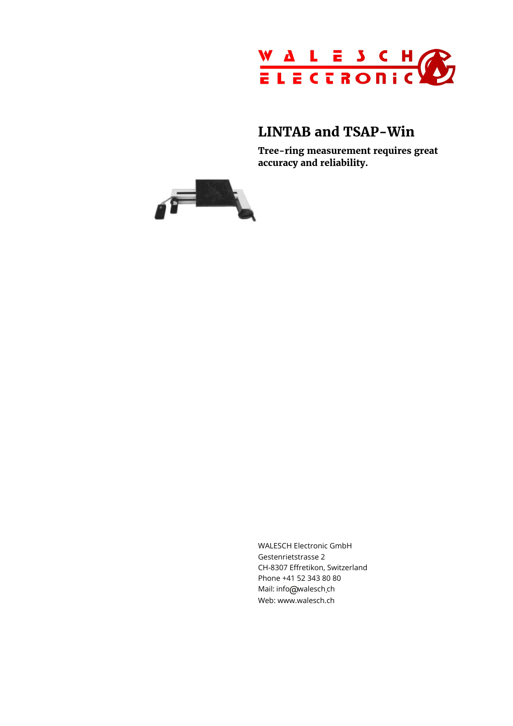

## **LINTAB and TSAP-Win**

**Tree-ring measurement requires great accuracy and reliability.**



WALESCH Electronic GmbH Gestenrietstrasse 2 CH-8307 Effretikon, Switzerland Phone +41 52 343 80 80 Mail: info@walesch<sub>.</sub>ch Web: www.walesch.ch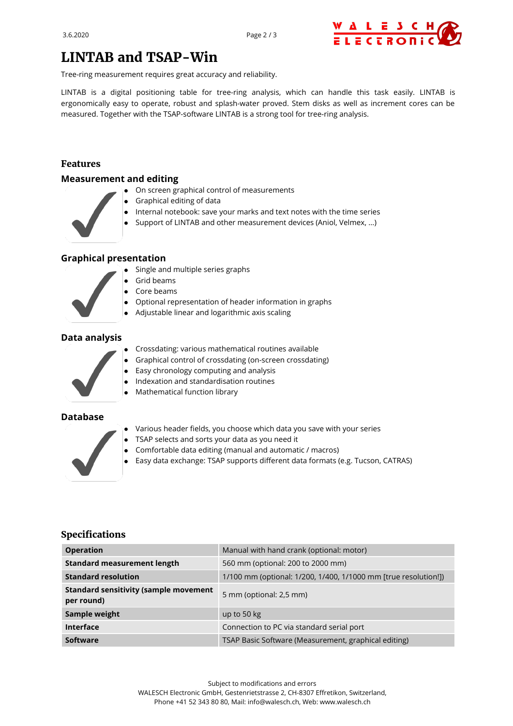

# **LINTAB and TSAP-Win**

Tree-ring measurement requires great accuracy and reliability.

LINTAB is a digital positioning table for tree-ring analysis, which can handle this task easily. LINTAB is ergonomically easy to operate, robust and splash-water proved. Stem disks as well as increment cores can be measured. Together with the TSAP-software LINTAB is a strong tool for tree-ring analysis.

#### **Features**

#### **Measurement and editing**

- On screen graphical control of measurements
- Graphical editing of data
- Internal notebook: save your marks and text notes with the time series
- Support of LINTAB and other measurement devices (Aniol, Velmex, ...)

#### **Graphical presentation**

- Single and multiple series graphs
- Grid beams
- Core beams  $\bullet$
- Optional representation of header information in graphs
- Adjustable linear and logarithmic axis scaling

#### **Data analysis**



- Crossdating: various mathematical routines available
- Graphical control of crossdating (on-screen crossdating)
- Easy chronology computing and analysis  $\bullet$
- Indexation and standardisation routines  $\bullet$
- Mathematical function library

#### **Database**



- Various header fields, you choose which data you save with your series
- TSAP selects and sorts your data as you need it
- Comfortable data editing (manual and automatic / macros)
- Easy data exchange: TSAP supports different data formats (e.g. Tucson, CATRAS)

#### **Specifications**

| <b>Operation</b>                                           | Manual with hand crank (optional: motor)                        |
|------------------------------------------------------------|-----------------------------------------------------------------|
| <b>Standard measurement length</b>                         | 560 mm (optional: 200 to 2000 mm)                               |
| <b>Standard resolution</b>                                 | 1/100 mm (optional: 1/200, 1/400, 1/1000 mm [true resolution!]) |
| <b>Standard sensitivity (sample movement</b><br>per round) | 5 mm (optional: 2,5 mm)                                         |
| Sample weight                                              | up to 50 kg                                                     |
| <b>Interface</b>                                           | Connection to PC via standard serial port                       |
| Software                                                   | TSAP Basic Software (Measurement, graphical editing)            |